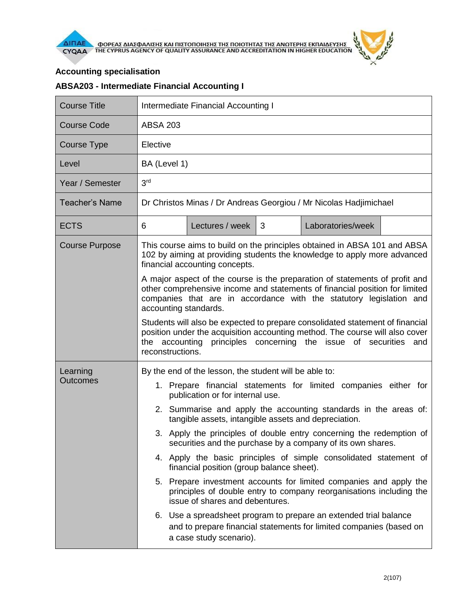## **Accounting specialisation**

## **ABSA203 - Intermediate Financial Accounting I**

| <b>Course Title</b>         | Intermediate Financial Accounting I                                                                                                                                                                                                                                                                                                                                                                                                                                                                                                                                                                                                                                                                                                 |                 |   |                   |  |  |  |
|-----------------------------|-------------------------------------------------------------------------------------------------------------------------------------------------------------------------------------------------------------------------------------------------------------------------------------------------------------------------------------------------------------------------------------------------------------------------------------------------------------------------------------------------------------------------------------------------------------------------------------------------------------------------------------------------------------------------------------------------------------------------------------|-----------------|---|-------------------|--|--|--|
| <b>Course Code</b>          | <b>ABSA 203</b>                                                                                                                                                                                                                                                                                                                                                                                                                                                                                                                                                                                                                                                                                                                     |                 |   |                   |  |  |  |
| <b>Course Type</b>          | Elective                                                                                                                                                                                                                                                                                                                                                                                                                                                                                                                                                                                                                                                                                                                            |                 |   |                   |  |  |  |
| Level                       | BA (Level 1)                                                                                                                                                                                                                                                                                                                                                                                                                                                                                                                                                                                                                                                                                                                        |                 |   |                   |  |  |  |
| Year / Semester             | 3 <sup>rd</sup>                                                                                                                                                                                                                                                                                                                                                                                                                                                                                                                                                                                                                                                                                                                     |                 |   |                   |  |  |  |
| <b>Teacher's Name</b>       | Dr Christos Minas / Dr Andreas Georgiou / Mr Nicolas Hadjimichael                                                                                                                                                                                                                                                                                                                                                                                                                                                                                                                                                                                                                                                                   |                 |   |                   |  |  |  |
| <b>ECTS</b>                 | 6                                                                                                                                                                                                                                                                                                                                                                                                                                                                                                                                                                                                                                                                                                                                   | Lectures / week | 3 | Laboratories/week |  |  |  |
| <b>Course Purpose</b>       | This course aims to build on the principles obtained in ABSA 101 and ABSA<br>102 by aiming at providing students the knowledge to apply more advanced<br>financial accounting concepts.                                                                                                                                                                                                                                                                                                                                                                                                                                                                                                                                             |                 |   |                   |  |  |  |
|                             | A major aspect of the course is the preparation of statements of profit and<br>other comprehensive income and statements of financial position for limited<br>companies that are in accordance with the statutory legislation and<br>accounting standards.                                                                                                                                                                                                                                                                                                                                                                                                                                                                          |                 |   |                   |  |  |  |
|                             | Students will also be expected to prepare consolidated statement of financial<br>position under the acquisition accounting method. The course will also cover<br>principles concerning the issue of securities and<br>the accounting<br>reconstructions.                                                                                                                                                                                                                                                                                                                                                                                                                                                                            |                 |   |                   |  |  |  |
| Learning<br><b>Outcomes</b> | By the end of the lesson, the student will be able to:<br>1. Prepare financial statements for limited companies either for<br>publication or for internal use.<br>2. Summarise and apply the accounting standards in the areas of:<br>tangible assets, intangible assets and depreciation.<br>3. Apply the principles of double entry concerning the redemption of<br>securities and the purchase by a company of its own shares.<br>4. Apply the basic principles of simple consolidated statement of<br>financial position (group balance sheet).<br>5. Prepare investment accounts for limited companies and apply the<br>principles of double entry to company reorganisations including the<br>issue of shares and debentures. |                 |   |                   |  |  |  |
|                             | 6. Use a spreadsheet program to prepare an extended trial balance<br>and to prepare financial statements for limited companies (based on<br>a case study scenario).                                                                                                                                                                                                                                                                                                                                                                                                                                                                                                                                                                 |                 |   |                   |  |  |  |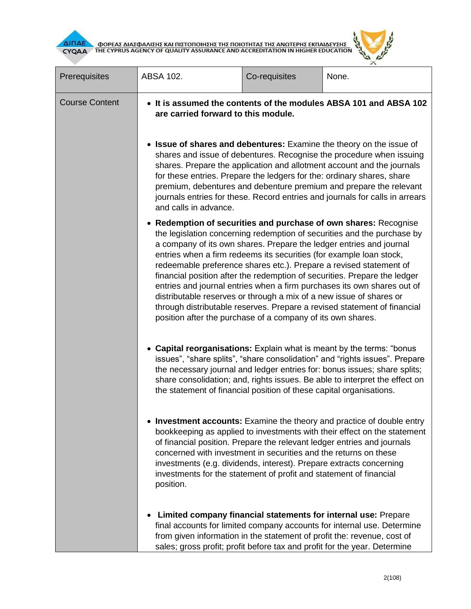

**AITIAE A OOPEAE AIAE DANIERE KAI TIIETOTOIRERE TRE TOIOTRTAE TRE ANOTEPRE EKTIAIAEYERE AND ACCREDITATION IN HIGHER EDUCATION** 

| Prerequisites         | ABSA 102.                                                                                                                                                                                                                                                                                                                                                                                                                                                                                                                                                                                                                                                                                                                               | Co-requisites | None.                                                                                                                                                                                                                                                                                             |  |  |  |  |
|-----------------------|-----------------------------------------------------------------------------------------------------------------------------------------------------------------------------------------------------------------------------------------------------------------------------------------------------------------------------------------------------------------------------------------------------------------------------------------------------------------------------------------------------------------------------------------------------------------------------------------------------------------------------------------------------------------------------------------------------------------------------------------|---------------|---------------------------------------------------------------------------------------------------------------------------------------------------------------------------------------------------------------------------------------------------------------------------------------------------|--|--|--|--|
|                       |                                                                                                                                                                                                                                                                                                                                                                                                                                                                                                                                                                                                                                                                                                                                         |               |                                                                                                                                                                                                                                                                                                   |  |  |  |  |
| <b>Course Content</b> | • It is assumed the contents of the modules ABSA 101 and ABSA 102<br>are carried forward to this module.                                                                                                                                                                                                                                                                                                                                                                                                                                                                                                                                                                                                                                |               |                                                                                                                                                                                                                                                                                                   |  |  |  |  |
|                       | <b>Issue of shares and debentures:</b> Examine the theory on the issue of<br>shares and issue of debentures. Recognise the procedure when issuing<br>shares. Prepare the application and allotment account and the journals<br>for these entries. Prepare the ledgers for the: ordinary shares, share<br>premium, debentures and debenture premium and prepare the relevant<br>journals entries for these. Record entries and journals for calls in arrears<br>and calls in advance.                                                                                                                                                                                                                                                    |               |                                                                                                                                                                                                                                                                                                   |  |  |  |  |
|                       | Redemption of securities and purchase of own shares: Recognise<br>the legislation concerning redemption of securities and the purchase by<br>a company of its own shares. Prepare the ledger entries and journal<br>entries when a firm redeems its securities (for example loan stock,<br>redeemable preference shares etc.). Prepare a revised statement of<br>financial position after the redemption of securities. Prepare the ledger<br>entries and journal entries when a firm purchases its own shares out of<br>distributable reserves or through a mix of a new issue of shares or<br>through distributable reserves. Prepare a revised statement of financial<br>position after the purchase of a company of its own shares. |               |                                                                                                                                                                                                                                                                                                   |  |  |  |  |
|                       | <b>Capital reorganisations:</b> Explain what is meant by the terms: "bonus<br>issues", "share splits", "share consolidation" and "rights issues". Prepare<br>the necessary journal and ledger entries for: bonus issues; share splits;<br>share consolidation; and, rights issues. Be able to interpret the effect on<br>the statement of financial position of these capital organisations.                                                                                                                                                                                                                                                                                                                                            |               |                                                                                                                                                                                                                                                                                                   |  |  |  |  |
|                       | • Investment accounts: Examine the theory and practice of double entry<br>bookkeeping as applied to investments with their effect on the statement<br>of financial position. Prepare the relevant ledger entries and journals<br>concerned with investment in securities and the returns on these<br>investments (e.g. dividends, interest). Prepare extracts concerning<br>investments for the statement of profit and statement of financial<br>position.                                                                                                                                                                                                                                                                             |               |                                                                                                                                                                                                                                                                                                   |  |  |  |  |
|                       |                                                                                                                                                                                                                                                                                                                                                                                                                                                                                                                                                                                                                                                                                                                                         |               | Limited company financial statements for internal use: Prepare<br>final accounts for limited company accounts for internal use. Determine<br>from given information in the statement of profit the: revenue, cost of<br>sales; gross profit; profit before tax and profit for the year. Determine |  |  |  |  |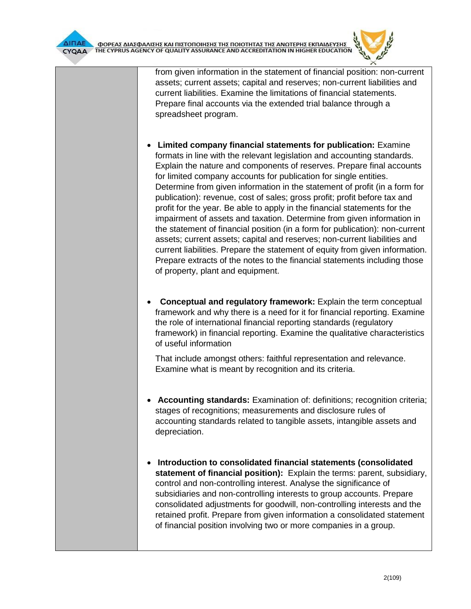from given information in the statement of financial position: non-current assets; current assets; capital and reserves; non-current liabilities and current liabilities. Examine the limitations of financial statements. Prepare final accounts via the extended trial balance through a spreadsheet program.

- **Limited company financial statements for publication:** Examine formats in line with the relevant legislation and accounting standards. Explain the nature and components of reserves. Prepare final accounts for limited company accounts for publication for single entities. Determine from given information in the statement of profit (in a form for publication): revenue, cost of sales; gross profit; profit before tax and profit for the year. Be able to apply in the financial statements for the impairment of assets and taxation. Determine from given information in the statement of financial position (in a form for publication): non-current assets; current assets; capital and reserves; non-current liabilities and current liabilities. Prepare the statement of equity from given information. Prepare extracts of the notes to the financial statements including those of property, plant and equipment.
- **Conceptual and regulatory framework:** Explain the term conceptual framework and why there is a need for it for financial reporting. Examine the role of international financial reporting standards (regulatory framework) in financial reporting. Examine the qualitative characteristics of useful information

That include amongst others: faithful representation and relevance. Examine what is meant by recognition and its criteria.

- **Accounting standards:** Examination of: definitions; recognition criteria; stages of recognitions; measurements and disclosure rules of accounting standards related to tangible assets, intangible assets and depreciation.
- **Introduction to consolidated financial statements (consolidated statement of financial position):** Explain the terms: parent, subsidiary, control and non-controlling interest. Analyse the significance of subsidiaries and non-controlling interests to group accounts. Prepare consolidated adjustments for goodwill, non-controlling interests and the retained profit. Prepare from given information a consolidated statement of financial position involving two or more companies in a group.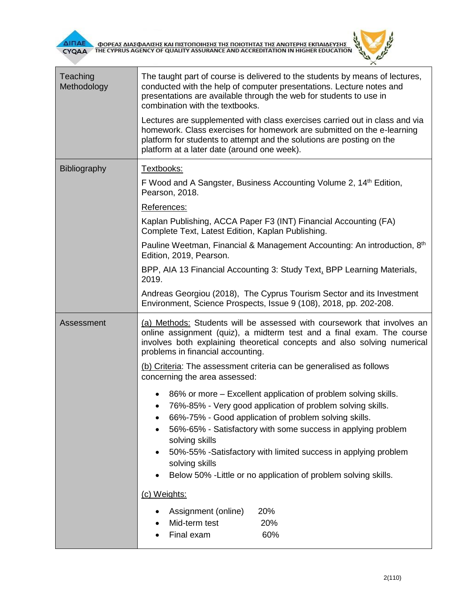



| Teaching<br>Methodology | The taught part of course is delivered to the students by means of lectures,<br>conducted with the help of computer presentations. Lecture notes and<br>presentations are available through the web for students to use in<br>combination with the textbooks.                 |  |  |  |  |  |
|-------------------------|-------------------------------------------------------------------------------------------------------------------------------------------------------------------------------------------------------------------------------------------------------------------------------|--|--|--|--|--|
|                         | Lectures are supplemented with class exercises carried out in class and via<br>homework. Class exercises for homework are submitted on the e-learning<br>platform for students to attempt and the solutions are posting on the<br>platform at a later date (around one week). |  |  |  |  |  |
| Bibliography            | Textbooks:                                                                                                                                                                                                                                                                    |  |  |  |  |  |
|                         | F Wood and A Sangster, Business Accounting Volume 2, 14 <sup>th</sup> Edition,<br>Pearson, 2018.                                                                                                                                                                              |  |  |  |  |  |
|                         | References:                                                                                                                                                                                                                                                                   |  |  |  |  |  |
|                         | Kaplan Publishing, ACCA Paper F3 (INT) Financial Accounting (FA)<br>Complete Text, Latest Edition, Kaplan Publishing.                                                                                                                                                         |  |  |  |  |  |
|                         | Pauline Weetman, Financial & Management Accounting: An introduction, 8th<br>Edition, 2019, Pearson.                                                                                                                                                                           |  |  |  |  |  |
|                         | BPP, AIA 13 Financial Accounting 3: Study Text, BPP Learning Materials,<br>2019.                                                                                                                                                                                              |  |  |  |  |  |
|                         | Andreas Georgiou (2018), The Cyprus Tourism Sector and its Investment<br>Environment, Science Prospects, Issue 9 (108), 2018, pp. 202-208.                                                                                                                                    |  |  |  |  |  |
| Assessment              | (a) Methods: Students will be assessed with coursework that involves an<br>online assignment (quiz), a midterm test and a final exam. The course<br>involves both explaining theoretical concepts and also solving numerical<br>problems in financial accounting.             |  |  |  |  |  |
|                         | (b) Criteria: The assessment criteria can be generalised as follows<br>concerning the area assessed:                                                                                                                                                                          |  |  |  |  |  |
|                         | 86% or more – Excellent application of problem solving skills.<br>٠<br>76%-85% - Very good application of problem solving skills.<br>66%-75% - Good application of problem solving skills.                                                                                    |  |  |  |  |  |
|                         | 56%-65% - Satisfactory with some success in applying problem<br>solving skills<br>50%-55% -Satisfactory with limited success in applying problem                                                                                                                              |  |  |  |  |  |
|                         | solving skills<br>Below 50% - Little or no application of problem solving skills.                                                                                                                                                                                             |  |  |  |  |  |
|                         |                                                                                                                                                                                                                                                                               |  |  |  |  |  |
|                         | (c) Weights:                                                                                                                                                                                                                                                                  |  |  |  |  |  |
|                         | 20%<br>Assignment (online)                                                                                                                                                                                                                                                    |  |  |  |  |  |
|                         | Mid-term test<br>20%<br>Final exam<br>60%                                                                                                                                                                                                                                     |  |  |  |  |  |
|                         |                                                                                                                                                                                                                                                                               |  |  |  |  |  |